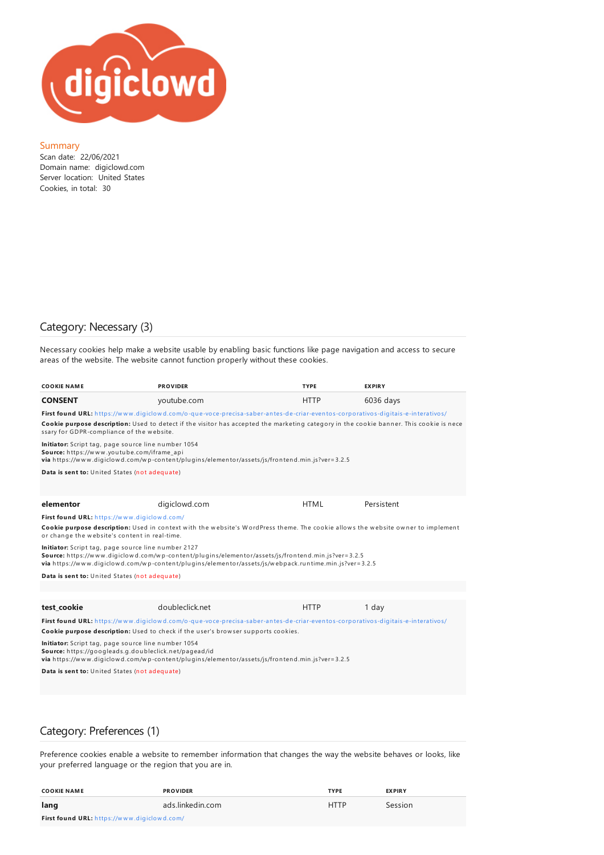

#### Summary

Scan date: 22/06/2021 Domain name: digiclowd.com Server location: United States Cookies, in total: 30

## Category: Necessary (3)

Necessary cookies help make a website usable by enabling basic functions like page navigation and access to secure areas of the website. The website cannot function properly without these cookies.

| COOKIE NAME                                                                                                                                                                                                                                                                                                             | <b>PROVIDER</b>                                                                                | <b>TYPE</b> | <b>EXPIRY</b> |  |  |
|-------------------------------------------------------------------------------------------------------------------------------------------------------------------------------------------------------------------------------------------------------------------------------------------------------------------------|------------------------------------------------------------------------------------------------|-------------|---------------|--|--|
| CONSENT                                                                                                                                                                                                                                                                                                                 | youtube.com                                                                                    | <b>HTTP</b> | $6036$ days   |  |  |
| First found URL: https://www.digiclowd.com/o-que-voce-precisa-saber-antes-de-criar-eventos-corporativos-digitais-e-interativos/<br>Cookie purpose description: Used to detect if the visitor has accepted the marketing category in the cookie banner. This cookie is nece<br>ssary for GDPR-compliance of the website. |                                                                                                |             |               |  |  |
| Initiator: Script tag, page source line number 1054<br>Source: https://www.youtube.com/iframe_api                                                                                                                                                                                                                       | via https://www.digiclowd.com/wp-content/plugins/elementor/assets/js/frontend.min.js?ver=3.2.5 |             |               |  |  |
| Data is sent to: United States (not adequate)                                                                                                                                                                                                                                                                           |                                                                                                |             |               |  |  |
| elementor                                                                                                                                                                                                                                                                                                               | digiclowd.com                                                                                  | <b>HTML</b> | Persistent    |  |  |
| First found URL: https://www.digiclowd.com/                                                                                                                                                                                                                                                                             |                                                                                                |             |               |  |  |
| Cookie purpose description: Used in context with the website's WordPress theme. The cookie allows the website owner to implement<br>or change the website's content in real-time.                                                                                                                                       |                                                                                                |             |               |  |  |
| Initiator: Script tag, page source line number 2127<br>Source: https://www.digiclowd.com/wp-content/plugins/elementor/assets/js/frontend.min.js?ver=3.2.5<br>via https://www.digiclowd.com/wp-content/plugins/elementor/assets/js/webpack.runtime.min.js?ver=3.2.5                                                      |                                                                                                |             |               |  |  |
| Data is sent to: United States (not adequate)                                                                                                                                                                                                                                                                           |                                                                                                |             |               |  |  |
|                                                                                                                                                                                                                                                                                                                         |                                                                                                |             |               |  |  |
|                                                                                                                                                                                                                                                                                                                         |                                                                                                |             |               |  |  |
| test cookie                                                                                                                                                                                                                                                                                                             | doubleclick.net                                                                                | <b>HTTP</b> | 1 day         |  |  |
| First found URL: https://www.digiclowd.com/o-que-voce-precisa-saber-antes-de-criar-eventos-corporativos-digitais-e-interativos/<br>Cookie purpose description: Used to check if the user's browser supports cookies.                                                                                                    |                                                                                                |             |               |  |  |
| Initiator: Script tag, page source line number 1054<br>Source: https://googleads.g.doubleclick.net/pagead/id<br>via https://www.digiclowd.com/wp-content/plugins/elementor/assets/js/frontend.min.js?ver=3.2.5                                                                                                          |                                                                                                |             |               |  |  |
| Data is sent to: United States (not adequate)                                                                                                                                                                                                                                                                           |                                                                                                |             |               |  |  |
|                                                                                                                                                                                                                                                                                                                         |                                                                                                |             |               |  |  |

## Category: Preferences (1)

Preference cookies enable a website to remember information that changes the way the website behaves or looks, like your preferred language or the region that you are in.

| <b>COOKIE NAME</b>                                 | <b>PROVIDER</b>  | <b>TYPE</b> | <b>EXPIRY</b> |
|----------------------------------------------------|------------------|-------------|---------------|
| lang                                               | ads.linkedin.com | <b>HTTP</b> | Session       |
| <b>First found URL:</b> https://www.digiclowd.com/ |                  |             |               |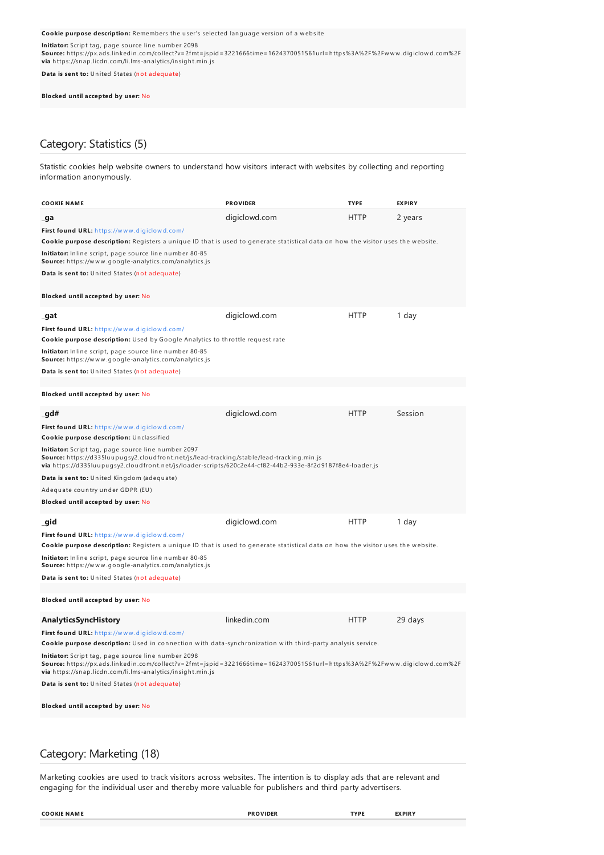Cookie purpose description: Remembers the user's selected language version of a website

**Initiator:** Script tag, page source line number 2098

**Source:** h ttps://px.ads.lin kedin .com/collect?v= 2fmt= jspid= 3221666time= 1624370051561u rl= h ttps%3A%2F%2Fw w w .digiclow d.com%2F **via** h ttps://sn ap.licdn .com/li.lms-an alytics/in sigh t.min .js

**Data is sent to:** United States (not adequate)

#### **Blocked until accepted by user:** No

# Category: Statistics (5)

Statistic cookies help website owners to understand how visitors interact with websites by collecting and reporting information anonymously.

| <b>COOKIE NAME</b>                                                                                                                                                                                                                            | <b>PROVIDER</b> | <b>TYPE</b> | <b>EXPIRY</b> |  |
|-----------------------------------------------------------------------------------------------------------------------------------------------------------------------------------------------------------------------------------------------|-----------------|-------------|---------------|--|
| _ga                                                                                                                                                                                                                                           | digiclowd.com   | <b>HTTP</b> | 2 years       |  |
| First found URL: https://www.digiclowd.com/                                                                                                                                                                                                   |                 |             |               |  |
| Cookie purpose description: Registers a unique ID that is used to generate statistical data on how the visitor uses the website.                                                                                                              |                 |             |               |  |
| Initiator: Inline script, page source line number 80-85<br>Source: https://www.google-analytics.com/analytics.js                                                                                                                              |                 |             |               |  |
| Data is sent to: United States (not adequate)                                                                                                                                                                                                 |                 |             |               |  |
| Blocked until accepted by user: No                                                                                                                                                                                                            |                 |             |               |  |
| _gat                                                                                                                                                                                                                                          | digiclowd.com   | <b>HTTP</b> | 1 day         |  |
| First found URL: https://www.digiclowd.com/                                                                                                                                                                                                   |                 |             |               |  |
| Cookie purpose description: Used by Google Analytics to throttle request rate                                                                                                                                                                 |                 |             |               |  |
| Initiator: Inline script, page source line number 80-85<br>Source: https://www.google-analytics.com/analytics.js                                                                                                                              |                 |             |               |  |
| Data is sent to: United States (not adequate)                                                                                                                                                                                                 |                 |             |               |  |
|                                                                                                                                                                                                                                               |                 |             |               |  |
| Blocked until accepted by user: No                                                                                                                                                                                                            |                 |             |               |  |
| _gd#                                                                                                                                                                                                                                          | digiclowd.com   | <b>HTTP</b> | Session       |  |
| First found URL: https://www.digiclowd.com/<br>Cookie purpose description: Unclassified                                                                                                                                                       |                 |             |               |  |
| Initiator: Script tag, page source line number 2097<br>Source: https://d335luupugsy2.cloudfront.net/js/lead-tracking/stable/lead-tracking.min.js                                                                                              |                 |             |               |  |
| via https://d335luupugsy2.cloudfront.net/js/loader-scripts/620c2e44-cf82-44b2-933e-8f2d9187f8e4-loader.js                                                                                                                                     |                 |             |               |  |
| Data is sent to: United Kingdom (adequate)                                                                                                                                                                                                    |                 |             |               |  |
| Adequate country under GDPR (EU)                                                                                                                                                                                                              |                 |             |               |  |
| Blocked until accepted by user: No                                                                                                                                                                                                            |                 |             |               |  |
| _gid                                                                                                                                                                                                                                          | digiclowd.com   | <b>HTTP</b> | 1 day         |  |
| First found URL: https://www.digiclowd.com/<br>Cookie purpose description: Registers a unique ID that is used to generate statistical data on how the visitor uses the website.                                                               |                 |             |               |  |
| Initiator: Inline script, page source line number 80-85<br><b>Source:</b> https://www.google-analytics.com/analytics.js                                                                                                                       |                 |             |               |  |
| Data is sent to: United States (not adequate)                                                                                                                                                                                                 |                 |             |               |  |
|                                                                                                                                                                                                                                               |                 |             |               |  |
| Blocked until accepted by user: No                                                                                                                                                                                                            |                 |             |               |  |
| Analytics SyncHistory                                                                                                                                                                                                                         | linkedin.com    | <b>HTTP</b> | 29 days       |  |
| First found URL: https://www.digiclowd.com/                                                                                                                                                                                                   |                 |             |               |  |
| Cookie purpose description: Used in connection with data-synchronization with third-party analysis service.                                                                                                                                   |                 |             |               |  |
| Initiator: Script tag, page source line number 2098<br>Source: https://px.ads.linkedin.com/collect?v=2fmt=jspid=3221666time=1624370051561url=https%3A%2F%2Fwww.digiclowd.com%2F<br>via https://snap.licdn.com/li.lms-analytics/insight.min.js |                 |             |               |  |
| Data is sent to: United States (not adequate)                                                                                                                                                                                                 |                 |             |               |  |
| Blocked until accepted by user: No                                                                                                                                                                                                            |                 |             |               |  |
|                                                                                                                                                                                                                                               |                 |             |               |  |

### Category: Marketing (18)

Marketing cookies are used to track visitors across websites. The intention is to display ads that are relevant and engaging for the individual user and thereby more valuable for publishers and third party advertisers.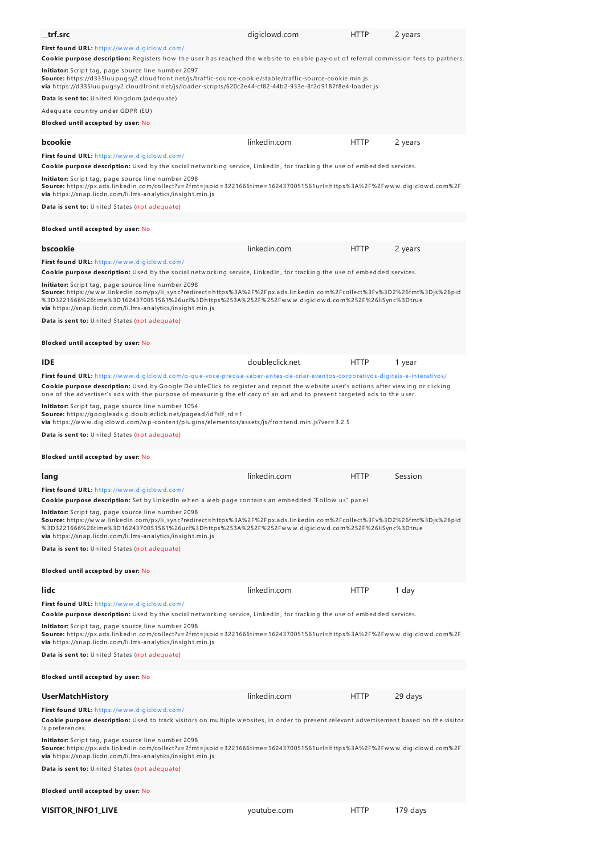| trf.src<br><b>First found URL:</b> https://www.digiclowd.com/                                                                                                                                                                                                                                                                                                                                     | digiclowd.com   | HTTP        | 2 years |  |
|---------------------------------------------------------------------------------------------------------------------------------------------------------------------------------------------------------------------------------------------------------------------------------------------------------------------------------------------------------------------------------------------------|-----------------|-------------|---------|--|
| Cookie purpose description: Registers how the user has reached the website to enable pay-out of referral commission fees to partners.                                                                                                                                                                                                                                                             |                 |             |         |  |
| <b>Initiator:</b> Script tag, page source line number 2097<br>Source: https://d335luupugsy2.cloudfront.net/js/traffic-source-cookie/stable/traffic-source-cookie.min.js<br>via https://d335luupugsy2.cloudfront.net/js/loader-scripts/620c2e44-cf82-44b2-933e-8f2d9187f8e4-loader.js                                                                                                              |                 |             |         |  |
| <b>Data is sent to:</b> United Kingdom (adequate)                                                                                                                                                                                                                                                                                                                                                 |                 |             |         |  |
| Adequate country under GDPR (EU)                                                                                                                                                                                                                                                                                                                                                                  |                 |             |         |  |
| Blocked until accepted by user: No                                                                                                                                                                                                                                                                                                                                                                |                 |             |         |  |
| bcookie                                                                                                                                                                                                                                                                                                                                                                                           | linkedin.com    | <b>HTTP</b> | 2 years |  |
| First found URL: https://www.digiclowd.com/                                                                                                                                                                                                                                                                                                                                                       |                 |             |         |  |
| Cookie purpose description: Used by the social networking service, LinkedIn, for tracking the use of embedded services.                                                                                                                                                                                                                                                                           |                 |             |         |  |
| <b>Initiator:</b> Script tag, page source line number 2098<br>Source: https://px.ads.linkedin.com/collect?v=2fmt=jspid=3221666time=1624370051561url=https%3A%2F%2Fwww.digiclowd.com%2F<br>via https://snap.licdn.com/li.lms-analytics/insight.min.js                                                                                                                                              |                 |             |         |  |
| Data is sent to: United States (not adequate)                                                                                                                                                                                                                                                                                                                                                     |                 |             |         |  |
| Blocked until accepted by user: No                                                                                                                                                                                                                                                                                                                                                                |                 |             |         |  |
| bscookie                                                                                                                                                                                                                                                                                                                                                                                          | linkedin.com    | HTTP        | 2 years |  |
| <b>First found URL:</b> https://www.digiclowd.com/                                                                                                                                                                                                                                                                                                                                                |                 |             |         |  |
| Cookie purpose description: Used by the social networking service, LinkedIn, for tracking the use of embedded services.                                                                                                                                                                                                                                                                           |                 |             |         |  |
| Initiator: Script tag, page source line number 2098<br>Source: https://www.linkedin.com/px/li_sync?redirect=https%3A%2F%2Fpx.ads.linkedin.com%2Fcollect%3Fv%3D2%26fmt%3Djs%26pid<br>%3D3221666%26time%3D1624370051561%26url%3Dhttps%253A%252F%252Fwww.digiclowd.com%252F%26liSync%3Dtrue<br>via https://snap.licdn.com/li.lms-analytics/insight.min.js                                            |                 |             |         |  |
| Data is sent to: United States (not adequate)                                                                                                                                                                                                                                                                                                                                                     |                 |             |         |  |
| Blocked until accepted by user: No                                                                                                                                                                                                                                                                                                                                                                |                 |             |         |  |
| <b>IDE</b>                                                                                                                                                                                                                                                                                                                                                                                        | doubleclick.net | <b>HTTP</b> | 1 year  |  |
| First found URL: https://www.digiclowd.com/o-que-voce-precisa-saber-antes-de-criar-eventos-corporativos-digitais-e-interativos/<br>Cookie purpose description: Used by Google DoubleClick to register and report the website user's actions after viewing or clicking<br>one of the advertiser's ads with the purpose of measuring the efficacy of an ad and to present targeted ads to the user. |                 |             |         |  |
| <b>Initiator:</b> Script tag, page source line number 1054<br><b>Source:</b> https://googleads.g.doubleclick.net/pagead/id?slf_rd=1                                                                                                                                                                                                                                                               |                 |             |         |  |
| via https://www.digiclowd.com/wp-content/plugins/elementor/assets/js/frontend.min.js?ver=3.2.5                                                                                                                                                                                                                                                                                                    |                 |             |         |  |
| Data is sent to: United States (not adequate)                                                                                                                                                                                                                                                                                                                                                     |                 |             |         |  |
| Blocked until accepted by user: No                                                                                                                                                                                                                                                                                                                                                                |                 |             |         |  |
| lang                                                                                                                                                                                                                                                                                                                                                                                              | linkedin.com    | <b>HTTP</b> | Session |  |
| First found URL: https://www.digiclowd.com/<br>Cookie purpose description: Set by LinkedIn when a web page contains an embedded "Follow us" panel.                                                                                                                                                                                                                                                |                 |             |         |  |
| Initiator: Script tag, page source line number 2098<br>Source: https://www.linkedin.com/px/li_sync?redirect=https%3A%2F%2Fpx.ads.linkedin.com%2Fcollect%3Fv%3D2%26fmt%3Djs%26pid<br>%3D3221666%26time%3D1624370051561%26url%3Dhttps%253A%252F%252Fwww.digiclowd.com%252F%26liSync%3Dtrue<br>via https://snap.licdn.com/li.lms-analytics/insight.min.js                                            |                 |             |         |  |
| Data is sent to: United States (not adequate)                                                                                                                                                                                                                                                                                                                                                     |                 |             |         |  |
| Blocked until accepted by user: No                                                                                                                                                                                                                                                                                                                                                                |                 |             |         |  |
| lidc                                                                                                                                                                                                                                                                                                                                                                                              | linkedin.com    | <b>HTTP</b> | 1 day   |  |
| First found URL: https://www.digiclowd.com/                                                                                                                                                                                                                                                                                                                                                       |                 |             |         |  |
| Cookie purpose description: Used by the social networking service, LinkedIn, for tracking the use of embedded services.<br>Initiator: Script tag, page source line number 2098<br>Source: https://px.ads.linkedin.com/collect?v=2fmt=jspid=3221666time=1624370051561url=https%3A%2F%2Fwww.digiclowd.com%2F                                                                                        |                 |             |         |  |
| via https://snap.licdn.com/li.lms-analytics/insight.min.js<br>Data is sent to: United States (not adequate)                                                                                                                                                                                                                                                                                       |                 |             |         |  |
|                                                                                                                                                                                                                                                                                                                                                                                                   |                 |             |         |  |
| Blocked until accepted by user: No                                                                                                                                                                                                                                                                                                                                                                |                 |             |         |  |
| <b>UserMatchHistory</b>                                                                                                                                                                                                                                                                                                                                                                           | linkedin.com    | <b>HTTP</b> | 29 days |  |
| First found URL: https://www.digiclowd.com/<br>Cookie purpose description: Used to track visitors on multiple websites, in order to present relevant advertisement based on the visitor<br>'s preferences.                                                                                                                                                                                        |                 |             |         |  |
| Initiator: Script tag, page source line number 2098<br>Source: https://px.ads.linkedin.com/collect?v=2fmt=jspid=3221666time=1624370051561url=https%3A%2F%2Fwww.digiclowd.com%2F<br>via https://snap.licdn.com/li.lms-analytics/insight.min.js<br>Data is sent to: United States (not adequate)                                                                                                    |                 |             |         |  |
| Blocked until accepted by user: No                                                                                                                                                                                                                                                                                                                                                                |                 |             |         |  |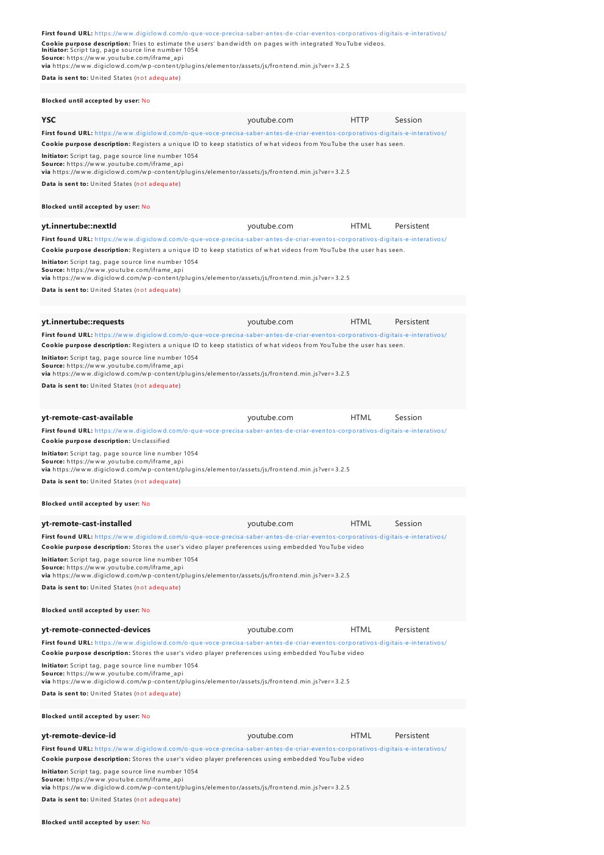| First found URL: https://www.digiclowd.com/o-que-voce-precisa-saber-antes-de-criar-eventos-corporativos-digitais-e-interativos/<br>Cookie purpose description: Tries to estimate the users' bandwidth on pages with integrated YouTube videos.<br>Initiator: Script tag, page source line number 1054<br>Source: https://www.youtube.com/iframe_api<br>via https://www.digiclowd.com/wp-content/plugins/elementor/assets/js/frontend.min.js?ver=3.2.5 |             |             |            |
|-------------------------------------------------------------------------------------------------------------------------------------------------------------------------------------------------------------------------------------------------------------------------------------------------------------------------------------------------------------------------------------------------------------------------------------------------------|-------------|-------------|------------|
| Data is sent to: United States (not adequate)                                                                                                                                                                                                                                                                                                                                                                                                         |             |             |            |
| Blocked until accepted by user: No                                                                                                                                                                                                                                                                                                                                                                                                                    |             |             |            |
| <b>YSC</b>                                                                                                                                                                                                                                                                                                                                                                                                                                            | youtube.com | HTTP        | Session    |
| First found URL: https://www.digiclowd.com/o-que-voce-precisa-saber-antes-de-criar-eventos-corporativos-digitais-e-interativos/<br>Cookie purpose description: Registers a unique ID to keep statistics of what videos from YouTube the user has seen.                                                                                                                                                                                                |             |             |            |
| Initiator: Script tag, page source line number 1054<br>Source: https://www.youtube.com/iframe_api<br>via https://www.digiclowd.com/wp-content/plugins/elementor/assets/js/frontend.min.js?ver=3.2.5                                                                                                                                                                                                                                                   |             |             |            |
| Data is sent to: United States (not adequate)                                                                                                                                                                                                                                                                                                                                                                                                         |             |             |            |
| Blocked until accepted by user: No                                                                                                                                                                                                                                                                                                                                                                                                                    |             |             |            |
| yt.innertube::nextld                                                                                                                                                                                                                                                                                                                                                                                                                                  | youtube.com | <b>HTML</b> | Persistent |
| First found URL: https://www.digiclowd.com/o-que-voce-precisa-saber-antes-de-criar-eventos-corporativos-digitais-e-interativos/<br>Cookie purpose description: Registers a unique ID to keep statistics of what videos from YouTube the user has seen.                                                                                                                                                                                                |             |             |            |
| Initiator: Script tag, page source line number 1054<br>Source: https://www.youtube.com/iframe_api<br>via https://www.digiclowd.com/wp-content/plugins/elementor/assets/js/frontend.min.js?ver=3.2.5                                                                                                                                                                                                                                                   |             |             |            |
| Data is sent to: United States (not adequate)                                                                                                                                                                                                                                                                                                                                                                                                         |             |             |            |
| yt.innertube::requests                                                                                                                                                                                                                                                                                                                                                                                                                                | youtube.com | <b>HTML</b> | Persistent |
| First found URL: https://www.digiclowd.com/o-que-voce-precisa-saber-antes-de-criar-eventos-corporativos-digitais-e-interativos/                                                                                                                                                                                                                                                                                                                       |             |             |            |
| Cookie purpose description: Registers a unique ID to keep statistics of what videos from YouTube the user has seen.                                                                                                                                                                                                                                                                                                                                   |             |             |            |
| Initiator: Script tag, page source line number 1054<br>Source: https://www.youtube.com/iframe_api<br>via https://www.digiclowd.com/wp-content/plugins/elementor/assets/js/frontend.min.js?ver=3.2.5                                                                                                                                                                                                                                                   |             |             |            |
| Data is sent to: United States (not adequate)                                                                                                                                                                                                                                                                                                                                                                                                         |             |             |            |
|                                                                                                                                                                                                                                                                                                                                                                                                                                                       |             |             |            |
| yt-remote-cast-available                                                                                                                                                                                                                                                                                                                                                                                                                              |             |             |            |
|                                                                                                                                                                                                                                                                                                                                                                                                                                                       | youtube.com | <b>HTML</b> | Session    |
| First found URL: https://www.digiclowd.com/o-que-voce-precisa-saber-antes-de-criar-eventos-corporativos-digitais-e-interativos/<br>Cookie purpose description: Unclassified                                                                                                                                                                                                                                                                           |             |             |            |
| Initiator: Script tag, page source line number 1054<br>Source: https://www.youtube.com/iframe_api<br>via https://www.digiclowd.com/wp-content/plugins/elementor/assets/js/frontend.min.js?ver=3.2.5                                                                                                                                                                                                                                                   |             |             |            |
| Data is sent to: United States (not adequate)                                                                                                                                                                                                                                                                                                                                                                                                         |             |             |            |
| Blocked until accepted by user: No                                                                                                                                                                                                                                                                                                                                                                                                                    |             |             |            |
| yt-remote-cast-installed                                                                                                                                                                                                                                                                                                                                                                                                                              | youtube.com | <b>HTML</b> | Session    |
| First found URL: https://www.digiclowd.com/o-que-voce-precisa-saber-antes-de-criar-eventos-corporativos-digitais-e-interativos/                                                                                                                                                                                                                                                                                                                       |             |             |            |
| Cookie purpose description: Stores the user's video player preferences using embedded YouTube video<br>Initiator: Script tag, page source line number 1054<br><b>Source:</b> https://www.youtube.com/iframe_api                                                                                                                                                                                                                                       |             |             |            |
| via https://www.digiclowd.com/wp-content/plugins/elementor/assets/js/frontend.min.js?ver=3.2.5<br>Data is sent to: United States (not adequate)                                                                                                                                                                                                                                                                                                       |             |             |            |
| Blocked until accepted by user: No                                                                                                                                                                                                                                                                                                                                                                                                                    |             |             |            |
| yt-remote-connected-devices                                                                                                                                                                                                                                                                                                                                                                                                                           | youtube.com | <b>HTML</b> | Persistent |
| First found URL: https://www.digiclowd.com/o-que-voce-precisa-saber-antes-de-criar-eventos-corporativos-digitais-e-interativos/<br>Cookie purpose description: Stores the user's video player preferences using embedded YouTube video                                                                                                                                                                                                                |             |             |            |
| Initiator: Script tag, page source line number 1054<br>Source: https://www.youtube.com/iframe_api<br>via https://www.digiclowd.com/wp-content/plugins/elementor/assets/js/frontend.min.js?ver=3.2.5                                                                                                                                                                                                                                                   |             |             |            |
| Data is sent to: United States (not adequate)                                                                                                                                                                                                                                                                                                                                                                                                         |             |             |            |
| Blocked until accepted by user: No                                                                                                                                                                                                                                                                                                                                                                                                                    |             |             |            |
| yt-remote-device-id                                                                                                                                                                                                                                                                                                                                                                                                                                   | youtube.com | <b>HTML</b> | Persistent |
| First found URL: https://www.digiclowd.com/o-que-voce-precisa-saber-antes-de-criar-eventos-corporativos-digitais-e-interativos/<br>Cookie purpose description: Stores the user's video player preferences using embedded YouTube video                                                                                                                                                                                                                |             |             |            |

**Data is sent to:** United States (not adequate)